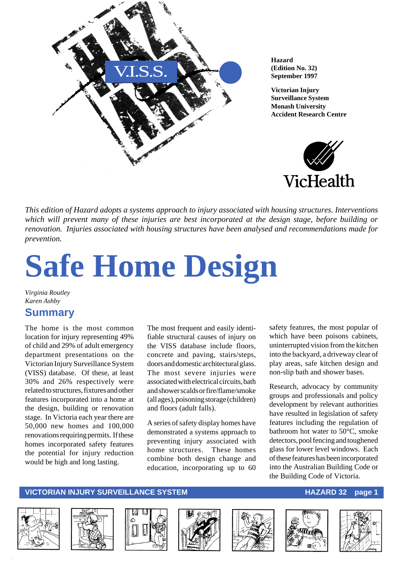

**Hazard (Edition No. 32) September 1997**

**Victorian Injury Surveillance System Monash University Accident Research Centre**



*This edition of Hazard adopts a systems approach to injury associated with housing structures. Interventions which will prevent many of these injuries are best incorporated at the design stage, before building or renovation. Injuries associated with housing structures have been analysed and recommendations made for prevention.*

# **Safe Home Design**

*Virginia Routley Karen Ashby*

### **Summary**

The home is the most common location for injury representing 49% of child and 29% of adult emergency department presentations on the Victorian Injury Surveillance System (VISS) database. Of these, at least 30% and 26% respectively were related to structures, fixtures and other features incorporated into a home at the design, building or renovation stage. In Victoria each year there are 50,000 new homes and 100,000 renovations requiring permits. If these homes incorporated safety features the potential for injury reduction would be high and long lasting.

The most frequent and easily identifiable structural causes of injury on the VISS database include floors, concrete and paving, stairs/steps, doors and domestic architectural glass. The most severe injuries were associated with electrical circuits, bath and shower scalds or fire/flame/smoke (all ages), poisoning storage (children) and floors (adult falls).

A series of safety display homes have demonstrated a systems approach to preventing injury associated with home structures. These homes combine both design change and education, incorporating up to 60

safety features, the most popular of which have been poisons cabinets, uninterrupted vision from the kitchen into the backyard, a driveway clear of play areas, safe kitchen design and non-slip bath and shower bases.

Research, advocacy by community groups and professionals and policy development by relevant authorities have resulted in legislation of safety features including the regulation of bathroom hot water to 50°C, smoke detectors, pool fencing and toughened glass for lower level windows. Each of these features has been incorporated into the Australian Building Code or the Building Code of Victoria.

#### **VICTORIAN INJURY SURVEILLANCE SYSTEM AND REALLY CONTROLLY CONTROLLY AND REALLY CONTROLLY CONTROLLY AND REALLY CONTROLLY AND REALLY AND REALLY FOUND AT A LITTLE OF A LITTLE OF A LITTLE OF A LITTLE OF A LITTLE OF A LITTLE O**













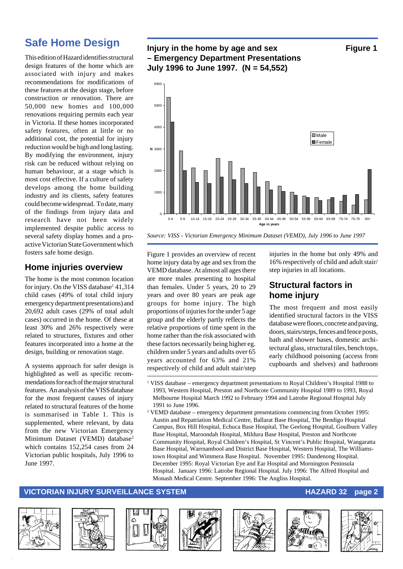### **Safe Home Design**

This edition of Hazard identifies structural design features of the home which are associated with injury and makes recommendations for modifications of these features at the design stage, before construction or renovation. There are 50,000 new homes and 100,000 renovations requiring permits each year in Victoria. If these homes incorporated safety features, often at little or no additional cost, the potential for injury reduction would be high and long lasting. By modifying the environment, injury risk can be reduced without relying on human behaviour, at a stage which is most cost effective. If a culture of safety develops among the home building industry and its clients, safety features could become widespread. To date, many of the findings from injury data and research have not been widely implemented despite public access to several safety display homes and a proactive Victorian State Government which fosters safe home design.

### **Home injuries overview**

The home is the most common location for injury. On the VISS database<sup>1</sup> 41,314 child cases (49% of total child injury emergency department presentations) and 20,692 adult cases (29% of total adult cases) occurred in the home. Of these at least 30% and 26% respectively were related to structures, fixtures and other features incorporated into a home at the design, building or renovation stage.

A systems approach for safer design is highlighted as well as specific recommendations for each of the major structural features. An analysis of the VISS database for the most frequent causes of injury related to structural features of the home is summarised in Table 1. This is supplemented, where relevant, by data from the new Victorian Emergency Minimum Dataset (VEMD) database<sup>2</sup> which contains 152,254 cases from 24 Victorian public hospitals, July 1996 to June 1997.

#### **Injury in the home by age and sex Figure 1 – Emergency Department Presentations July 1996 to June 1997. (N = 54,552)**



*Source: VISS - Victorian Emergency Minimum Dataset (VEMD), July 1996 to June 1997*

Figure 1 provides an overview of recent home injury data by age and sex from the VEMD database. At almost all ages there are more males presenting to hospital than females. Under 5 years, 20 to 29 years and over 80 years are peak age groups for home injury. The high proportions of injuries for the under 5 age group and the elderly partly reflects the relative proportions of time spent in the home rather than the risk associated with these factors necessarily being higher eg. children under 5 years and adults over 65 years accounted for 63% and 21% respectively of child and adult stair/step

injuries in the home but only 49% and 16% respectively of child and adult stair/ step injuries in all locations.

#### **Structural factors in home injury**

The most frequent and most easily identified structural factors in the VISS database were floors, concrete and paving, doors, stairs/steps, fences and fence posts, bath and shower bases, domestic architectural glass, structural tiles, bench tops, early childhood poisoning (access from cupboards and shelves) and bathroom

- 1 VISS database emergency department presentations to Royal Children's Hospital 1988 to 1993, Western Hospital, Preston and Northcote Community Hospital 1989 to 1993, Royal Melbourne Hospital March 1992 to February 1994 and Latrobe Regional Hospital July 1991 to June 1996.
- 2 VEMD database emergency department presentations commencing from October 1995: Austin and Repatriation Medical Centre, Ballarat Base Hospital, The Bendigo Hospital Campus, Box Hill Hospital, Echuca Base Hospital, The Geelong Hospital, Goulburn Valley Base Hospital, Maroondah Hospital, Mildura Base Hospital, Preston and Northcote Community Hospital, Royal Children's Hospital, St Vincent's Public Hospital, Wangaratta Base Hospital, Warrnambool and District Base Hospital, Western Hospital, The Williamstown Hospital and Wimmera Base Hospital. November 1995: Dandenong Hospital. December 1995: Royal Victorian Eye and Ear Hospital and Mornington Peninsula Hospital. January 1996: Latrobe Regional Hospital. July 1996: The Alfred Hospital and Monash Medical Centre. September 1996: The Angliss Hospital.

#### **VICTORIAN INJURY SURVEILLANCE SYSTEM AND REALLY CONTROLLY CONTROLLY AND REALLY CONTROLLY CONTROLLY AND REALLY CONTROLLY AND REALLY AND REALLY CONTROLLY AND REALLY AND REALLY AND REALLY AND REALLY AND REALLY AND REALLY AND**













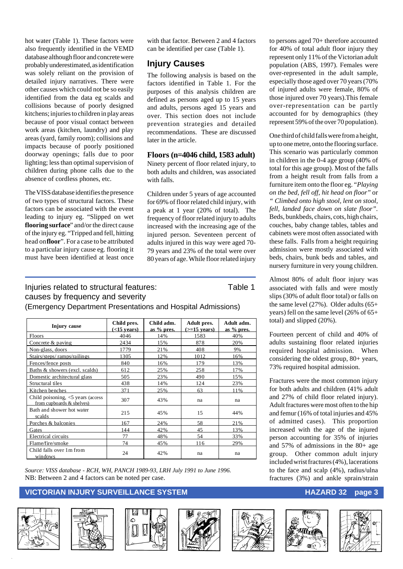hot water (Table 1). These factors were also frequently identified in the VEMD database although floor and concrete were probably underestimated, as identification was solely reliant on the provision of detailed injury narratives. There were other causes which could not be so easily identified from the data eg scalds and collisions because of poorly designed kitchens; injuries to children in play areas because of poor visual contact between work areas (kitchen, laundry) and play areas (yard, family room); collisions and impacts because of poorly positioned doorway openings; falls due to poor lighting; less than optimal supervision of children during phone calls due to the absence of cordless phones, etc.

The VISS database identifies the presence of two types of structural factors. These factors can be associated with the event leading to injury eg. "Slipped on wet **flooring surface**" and/or the direct cause of the injury eg. "Tripped and fell, hitting head on **floor**". For a case to be attributed to a particular injury cause eg. flooring it must have been identified at least once

with that factor. Between 2 and 4 factors can be identified per case (Table 1).

#### **Injury Causes**

The following analysis is based on the factors identified in Table 1. For the purposes of this analysis children are defined as persons aged up to 15 years and adults, persons aged 15 years and over. This section does not include prevention strategies and detailed recommendations. These are discussed later in the article.

#### **Floors (n=4046 child, 1583 adult)**

Ninety percent of floor related injury, to both adults and children, was associated with falls.

Children under 5 years of age accounted for 69% of floor related child injury, with a peak at 1 year (20% of total). The frequency of floor related injury to adults increased with the increasing age of the injured person. Seventeen percent of adults injured in this way were aged 70- 79 years and 23% of the total were over 80 years of age. While floor related injury

#### Injuries related to structural features: Table 1 causes by frequency and severity (Emergency Department Presentations and Hospital Admissions)

| Injury cause                                                        | Child pres.<br>$(<$ 15 years) | Child adm.<br>as % pres. | Adult pres.<br>$(>=15$ years) | Adult adm.<br>as % pres. |
|---------------------------------------------------------------------|-------------------------------|--------------------------|-------------------------------|--------------------------|
| Floors                                                              | 4046                          | 14%                      | 1583                          | 40%                      |
| Concrete & paving                                                   | 2434                          | 15%                      | 878                           | 20%                      |
| Non-glass, doors                                                    | 1779                          | 21%                      | 408                           | 9%                       |
| Stairs/steps/ramps/railings                                         | 1305                          | 12%                      | 1012                          | 16%                      |
| Fences/fence posts                                                  | 840                           | 16%                      | 179                           | 13%                      |
| Baths & showers (excl. scalds)                                      | 612                           | 25%                      | 258                           | 17%                      |
| Domestic architectural glass                                        | 505                           | 23%                      | 490                           | 15%                      |
| Structural tiles                                                    | 438                           | 14%                      | 124                           | 23%                      |
| Kitchen benches                                                     | 371                           | 25%                      | 63                            | 11%                      |
| Child poisoning, $\leq$ years (access)<br>from cupboards & shelves) | 307                           | 43%                      | na                            | na                       |
| Bath and shower hot water<br>scalds                                 | 215                           | 45%                      | 15                            | 44%                      |
| Porches & balconies                                                 | 167                           | 24%                      | 58                            | 21%                      |
| Gates                                                               | 144                           | 42%                      | 45                            | 13%                      |
| Electrical circuits                                                 | 77                            | 48%                      | 54                            | 33%                      |
| Flame/fire/smoke                                                    | 74                            | 45%                      | 116                           | 29%                      |
| Child falls over 1 m from<br>windows                                | 24                            | 42%                      | na                            | na                       |

*Source: VISS database - RCH, WH, PANCH 1989-93, LRH July 1991 to June 1996.* NB: Between 2 and 4 factors can be noted per case.

#### **VICTORIAN INJURY SURVEILLANCE SYSTEM AND READ READ TO A REAL HAZARD 32 page 3**











to persons aged 70+ therefore accounted for 40% of total adult floor injury they represent only 11% of the Victorian adult population (ABS, 1997). Females were over-represented in the adult sample, especially those aged over 70 years (70% of injured adults were female, 80% of those injured over 70 years).This female over-representation can be partly accounted for by demographics (they represent 59% of the over 70 population).

One third of child falls were from a height, up to one metre, onto the flooring surface. This scenario was particularly common in children in the 0-4 age group (40% of total for this age group). Most of the falls from a height result from falls from a furniture item onto the floor eg. *"Playing on the bed, fell off, hit head on floor"* or *" Climbed onto high stool, lent on stool, fell, landed face down on slate floor".* Beds, bunkbeds, chairs, cots, high chairs, couches, baby change tables, tables and cabinets were most often associated with these falls. Falls from a height requiring admission were mostly associated with beds, chairs, bunk beds and tables, and nursery furniture in very young children.

Almost 80% of adult floor injury was associated with falls and were mostly slips (30% of adult floor total) or falls on the same level (27%). Older adults (65+ years) fell on the same level (26% of 65+ total) and slipped (20%).

Fourteen percent of child and 40% of adults sustaining floor related injuries required hospital admission. When considering the oldest group, 80+ years, 73% required hospital admission.

Fractures were the most common injury for both adults and children (41% adult and 27% of child floor related injury). Adult fractures were most often to the hip and femur (16% of total injuries and 45% of admitted cases). This proportion increased with the age of the injured person accounting for 35% of injuries and 57% of admissions in the 80+ age group. Other common adult injury included wrist fractures (4%), lacerations to the face and scalp (4%), radius/ulna fractures (3%) and ankle sprain/strain





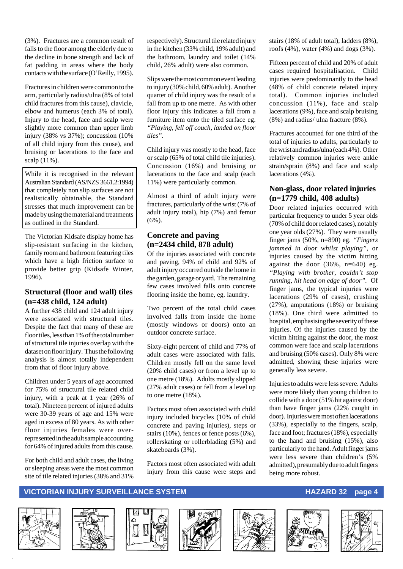(3%). Fractures are a common result of falls to the floor among the elderly due to the decline in bone strength and lack of fat padding in areas where the body contacts with the surface (O'Reilly, 1995).

Fractures in children were common to the arm, particularly radius/ulna (8% of total child fractures from this cause), clavicle, elbow and humerus (each 3% of total). Injury to the head, face and scalp were slightly more common than upper limb injury (38% vs 37%); concussion (10% of all child injury from this cause), and bruising or lacerations to the face and scalp (11%).

While it is recognised in the relevant Australian Standard (AS/NZS 3661.2:1994) that completely non slip surfaces are not realistically obtainable, the Standard stresses that much improvement can be made by using the material and treatments as outlined in the Standard.

The Victorian Kidsafe display home has slip-resistant surfacing in the kitchen, family room and bathroom featuring tiles which have a high friction surface to provide better grip (Kidsafe Winter, 1996).

#### **Structural (floor and wall) tiles (n=438 child, 124 adult)**

A further 438 child and 124 adult injury were associated with structural tiles. Despite the fact that many of these are floor tiles, less than 1% of the total number of structural tile injuries overlap with the dataset on floor injury. Thus the following analysis is almost totally independent from that of floor injury above.

Children under 5 years of age accounted for 75% of structural tile related child injury, with a peak at 1 year (26% of total). Nineteen percent of injured adults were 30-39 years of age and 15% were aged in excess of 80 years. As with other floor injuries females were overrepresented in the adult sample accounting for 64% of injured adults from this cause.

For both child and adult cases, the living or sleeping areas were the most common site of tile related injuries (38% and 31%

respectively). Structural tile related injury in the kitchen (33% child, 19% adult) and the bathroom, laundry and toilet (14% child, 26% adult) were also common.

Slips were the most common event leading to injury (30% child, 60% adult). Another quarter of child injury was the result of a fall from up to one metre. As with other floor injury this indicates a fall from a furniture item onto the tiled surface eg. *"Playing, fell off couch, landed on floor tiles".*

Child injury was mostly to the head, face or scalp (65% of total child tile injuries). Concussion (16%) and bruising or lacerations to the face and scalp (each 11%) were particularly common.

Almost a third of adult injury were fractures, particularly of the wrist (7% of adult injury total), hip (7%) and femur (6%).

#### **Concrete and paving (n=2434 child, 878 adult)**

Of the injuries associated with concrete and paving, 94% of child and 92% of adult injury occurred outside the home in the garden, garage or yard. The remaining few cases involved falls onto concrete flooring inside the home, eg. laundry.

Two percent of the total child cases involved falls from inside the home (mostly windows or doors) onto an outdoor concrete surface.

Sixty-eight percent of child and 77% of adult cases were associated with falls. Children mostly fell on the same level (20% child cases) or from a level up to one metre (18%). Adults mostly slipped (27% adult cases) or fell from a level up to one metre (18%).

Factors most often associated with child injury included bicycles (10% of child concrete and paving injuries), steps or stairs (10%), fences or fence posts (6%), rollerskating or rollerblading (5%) and skateboards (3%).

Factors most often associated with adult injury from this cause were steps and

stairs (18% of adult total), ladders (8%), roofs (4%), water (4%) and dogs (3%).

Fifteen percent of child and 20% of adult cases required hospitalisation. Child injuries were predominantly to the head (48% of child concrete related injury total). Common injuries included concussion (11%), face and scalp lacerations (9%), face and scalp bruising (8%) and radius/ ulna fracture (8%).

Fractures accounted for one third of the total of injuries to adults, particularly to the wrist and radius/ulna (each 4%). Other relatively common injuries were ankle strain/sprain (8%) and face and scalp lacerations (4%).

#### **Non-glass, door related injuries (n=1779 child, 408 adults)**

Door related injuries occurred with particular frequency to under 5 year olds (70% of child door related cases), notably one year olds (27%). They were usually finger jams (50%, n=890) eg. *"Fingers jammed in door whilst playing"*, or injuries caused by the victim hitting against the door (36%, n=640) eg. *"Playing with brother, couldn't stop running, hit head on edge of door".* Of finger jams, the typical injuries were lacerations (29% of cases), crushing (27%), amputations (18%) or bruising (18%). One third were admitted to hospital, emphasising the severity of these injuries. Of the injuries caused by the victim hitting against the door, the most common were face and scalp lacerations and bruising (50% cases). Only 8% were admitted, showing these injuries were generally less severe.

Injuries to adults were less severe. Adults were more likely than young children to collide with a door (51% hit against door) than have finger jams (22% caught in door). Injuries were most often lacerations (33%), especially to the fingers, scalp, face and foot; fractures (18%), especially to the hand and bruising (15%), also particularly to the hand. Adult finger jams were less severe than children's (5% admitted), presumably due to adult fingers being more robust.













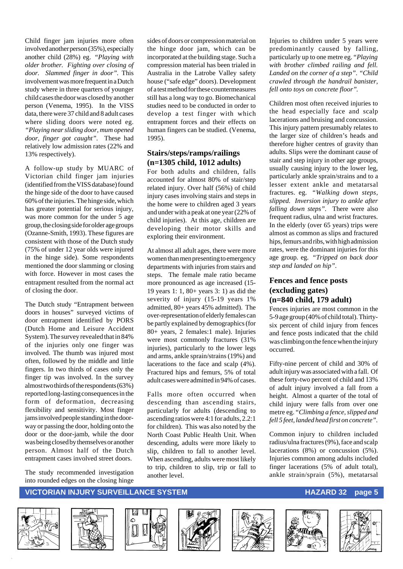Child finger jam injuries more often involved another person (35%), especially another child (28%) eg. *"Playing with older brother. Fighting over closing of door. Slammed finger in door".* This involvement was more frequent in a Dutch study where in three quarters of younger child cases the door was closed by another person (Venema, 1995). In the VISS data, there were 37 child and 8 adult cases where sliding doors were noted eg. *"Playing near sliding door, mum opened door, finger got caught".* These had relatively low admission rates (22% and 13% respectively).

A follow-up study by MUARC of Victorian child finger jam injuries (identified from the VISS database) found the hinge side of the door to have caused 60% of the injuries. The hinge side, which has greater potential for serious injury, was more common for the under 5 age group, the closing side for older age groups (Ozanne-Smith, 1993). These figures are consistent with those of the Dutch study (75% of under 12 year olds were injured in the hinge side). Some respondents mentioned the door slamming or closing with force. However in most cases the entrapment resulted from the normal act of closing the door.

The Dutch study "Entrapment between doors in houses" surveyed victims of door entrapment identified by PORS (Dutch Home and Leisure Accident System). The survey revealed that in 84% of the injuries only one finger was involved. The thumb was injured most often, followed by the middle and little fingers. In two thirds of cases only the finger tip was involved. In the survey almost two thirds of the respondents (63%) reported long-lasting consequences in the form of deformation, decreasing flexibility and sensitivity. Most finger jams involved people standing in the doorway or passing the door, holding onto the door or the door-jamb, while the door was being closed by themselves or another person. Almost half of the Dutch entrapment cases involved street doors.

The study recommended investigation into rounded edges on the closing hinge

sides of doors or compression material on the hinge door jam, which can be incorporated at the building stage. Such a compression material has been trialed in Australia in the Latrobe Valley safety house ("safe edge" doors). Development of a test method for these countermeasures still has a long way to go. Biomechanical studies need to be conducted in order to develop a test finger with which entrapment forces and their effects on human fingers can be studied. (Venema, 1995).

#### **Stairs/steps/ramps/railings (n=1305 child, 1012 adults)**

For both adults and children, falls accounted for almost 80% of stair/step related injury. Over half (56%) of child injury cases involving stairs and steps in the home were to children aged 3 years and under with a peak at one year (22% of child injuries). At this age, children are developing their motor skills and exploring their environment.

At almost all adult ages, there were more women than men presenting to emergency departments with injuries from stairs and steps. The female male ratio became more pronounced as age increased (15- 19 years 1: 1, 80+ years 3: 1) as did the severity of injury (15-19 years 1% admitted, 80+ years 45% admitted). The over-representation of elderly females can be partly explained by demographics (for 80+ years, 2 females:1 male). Injuries were most commonly fractures (31% injuries), particularly to the lower legs and arms, ankle sprain/strains (19%) and lacerations to the face and scalp (4%). Fractured hips and femurs, 5% of total adult cases were admitted in 94% of cases.

Falls more often occurred when descending than ascending stairs, particularly for adults (descending to ascending ratios were 4:1 for adults, 2.2:1 for children). This was also noted by the North Coast Public Health Unit. When descending, adults were more likely to slip, children to fall to another level. When ascending, adults were most likely to trip, children to slip, trip or fall to another level.

Injuries to children under 5 years were predominantly caused by falling, particularly up to one metre eg. *"Playing with brother climbed railing and fell. Landed on the corner of a step". "Child crawled through the handrail banister, fell onto toys on concrete floor"*.

Children most often received injuries to the head especially face and scalp lacerations and bruising and concussion. This injury pattern presumably relates to the larger size of children's heads and therefore higher centres of gravity than adults. Slips were the dominant cause of stair and step injury in other age groups, usually causing injury to the lower leg, particularly ankle sprain/strains and to a lesser extent ankle and metatarsal fractures. eg. *"Walking down steps, slipped. Inversion injury to ankle after falling down steps".* There were also frequent radius, ulna and wrist fractures. In the elderly (over 65 years) trips were almost as common as slips and fractured hips, femurs and ribs, with high admission rates, were the dominant injuries for this age group. eg. *"Tripped on back door step and landed on hip"*.

#### **Fences and fence posts (excluding gates) (n=840 child, 179 adult)**

Fences injuries are most common in the 5-9 age group (40% of child total). Thirtysix percent of child injury from fences and fence posts indicated that the child was climbing on the fence when the injury occurred.

Fifty-nine percent of child and 30% of adult injury was associated with a fall. Of these forty-two percent of child and 13% of adult injury involved a fall from a height. Almost a quarter of the total of child injury were falls from over one metre eg. *"Climbing a fence, slipped and fell 5 feet, landed head first on concrete".*

Common injury to children included radius/ulna fractures (9%), face and scalp lacerations (8%) or concussion (5%). Injuries common among adults included finger lacerations (5% of adult total), ankle strain/sprain (5%), metatarsal

#### **VICTORIAN INJURY SURVEILLANCE SYSTEM AND RESOURCE HAZARD 32 page 5**













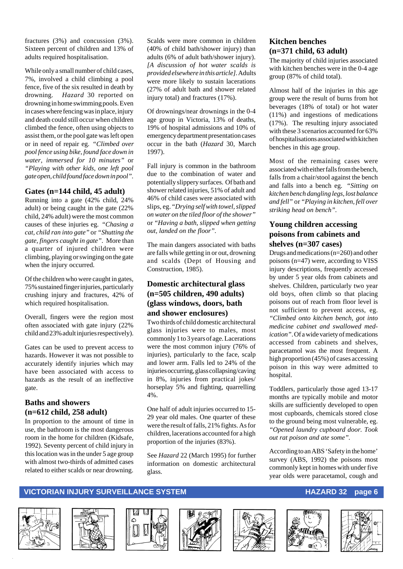fractures (3%) and concussion (3%). Sixteen percent of children and 13% of adults required hospitalisation.

While only a small number of child cases, 7%, involved a child climbing a pool fence, five of the six resulted in death by drowning. *Hazard* 30 reported on drowning in home swimming pools. Even in cases where fencing was in place, injury and death could still occur when children climbed the fence, often using objects to assist them, or the pool gate was left open or in need of repair eg. *"Climbed over pool fence using bike, found face down in water, immersed for 10 minutes"* or *"Playing with other kids, one left pool gate open, child found face down in pool".*

#### **Gates (n=144 child, 45 adult)**

Running into a gate (42% child, 24% adult) or being caught in the gate (22% child, 24% adult) were the most common causes of these injuries eg. *"Chasing a cat, child ran into gate"* or *"Shutting the gate, fingers caught in gate".* More than a quarter of injured children were climbing, playing or swinging on the gate when the injury occurred.

Of the children who were caught in gates, 75% sustained finger injuries, particularly crushing injury and fractures, 42% of which required hospitalisation.

Overall, fingers were the region most often associated with gate injury (22% child and 23% adult injuries respectively).

Gates can be used to prevent access to hazards. However it was not possible to accurately identify injuries which may have been associated with access to hazards as the result of an ineffective gate.

#### **Baths and showers (n=612 child, 258 adult)**

In proportion to the amount of time in use, the bathroom is the most dangerous room in the home for children (Kidsafe, 1992). Seventy percent of child injury in this location was in the under 5 age group with almost two-thirds of admitted cases related to either scalds or near drowning.

Scalds were more common in children (40% of child bath/shower injury) than adults (6% of adult bath/shower injury). *[A discussion of hot water scalds is provided elsewhere in this article]*. Adults were more likely to sustain lacerations (27% of adult bath and shower related injury total) and fractures (17%).

Of drownings/near drownings in the 0-4 age group in Victoria, 13% of deaths, 19% of hospital admissions and 10% of emergency department presentation cases occur in the bath (*Hazard* 30, March 1997).

Fall injury is common in the bathroom due to the combination of water and potentially slippery surfaces. Of bath and shower related injuries, 51% of adult and 46% of child cases were associated with slips, eg. *"Drying self with towel, slipped on water on the tiled floor of the shower"* or *"Having a bath, slipped when getting out, landed on the floor".*

The main dangers associated with baths are falls while getting in or out, drowning and scalds (Dept of Housing and Construction, 1985).

#### **Domestic architectural glass (n=505 children, 490 adults) (glass windows, doors, bath and shower enclosures)**

Two thirds of child domestic architectural glass injuries were to males, most commonly 1 to 3 years of age. Lacerations were the most common injury (76% of injuries), particularly to the face, scalp and lower arm. Falls led to 24% of the injuries occurring, glass collapsing/caving in 8%, injuries from practical jokes/ horseplay 5% and fighting, quarrelling 4%.

One half of adult injuries occurred to 15- 29 year old males. One quarter of these were the result of falls, 21% fights. As for children, lacerations accounted for a high proportion of the injuries (83%).

See *Hazard* 22 (March 1995) for further information on domestic architectural glass.

#### **Kitchen benches (n=371 child, 63 adult)**

The majority of child injuries associated with kitchen benches were in the 0-4 age group (87% of child total).

Almost half of the injuries in this age group were the result of burns from hot beverages (18% of total) or hot water (11%) and ingestions of medications (17%). The resulting injury associated with these 3 scenarios accounted for 63% of hospitalisations associated with kitchen benches in this age group.

Most of the remaining cases were associated with either falls from the bench, falls from a chair/stool against the bench and falls into a bench eg. *"Sitting on kitchen bench dangling legs, lost balance and fell"* or *"Playing in kitchen, fell over striking head on bench".*

#### **Young children accessing poisons from cabinets and shelves (n=307 cases)**

Drugs and medications (n=260) and other poisons (n=47) were, according to VISS injury descriptions, frequently accessed by under 5 year olds from cabinets and shelves. Children, particularly two year old boys, often climb so that placing poisons out of reach from floor level is not sufficient to prevent access, eg. *"Climbed onto kitchen bench, got into medicine cabinet and swallowed medication"*. Of a wide variety of medications accessed from cabinets and shelves, paracetamol was the most frequent. A high proportion (45%) of cases accessing poison in this way were admitted to hospital.

Toddlers, particularly those aged 13-17 months are typically mobile and motor skills are sufficiently developed to open most cupboards, chemicals stored close to the ground being most vulnerable, eg. *"Opened laundry cupboard door. Took out rat poison and ate some".*

According to an ABS 'Safety in the home' survey (ABS, 1992) the poisons most commonly kept in homes with under five year olds were paracetamol, cough and













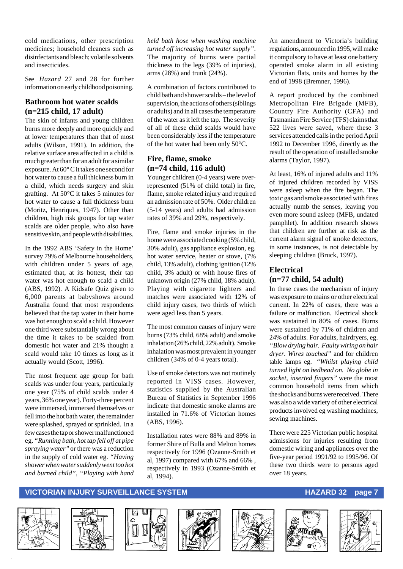cold medications, other prescription medicines; household cleaners such as disinfectants and bleach; volatile solvents and insecticides.

See *Hazard* 27 and 28 for further information on early childhood poisoning.

#### **Bathroom hot water scalds (n=215 child, 17 adult)**

The skin of infants and young children burns more deeply and more quickly and at lower temperatures than that of most adults (Wilson, 1991). In addition, the relative surface area affected in a child is much greater than for an adult for a similar exposure. At 60° C it takes one second for hot water to cause a full thickness burn in a child, which needs surgery and skin grafting. At 50°C it takes 5 minutes for hot water to cause a full thickness burn (Moritz, Henriques, 1947). Other than children, high risk groups for tap water scalds are older people, who also have sensitive skin, and people with disabilities.

In the 1992 ABS 'Safety in the Home' survey 79% of Melbourne householders, with children under 5 years of age, estimated that, at its hottest, their tap water was hot enough to scald a child (ABS, 1992). A Kidsafe Quiz given to 6,000 parents at babyshows around Australia found that most respondents believed that the tap water in their home was hot enough to scald a child. However one third were substantially wrong about the time it takes to be scalded from domestic hot water and 21% thought a scald would take 10 times as long as it actually would (Scott, 1996).

The most frequent age group for bath scalds was under four years, particularly one year (75% of child scalds under 4 years, 36% one year). Forty-three percent were immersed, immersed themselves or fell into the hot bath water, the remainder were splashed, sprayed or sprinkled. In a few cases the tap or shower malfunctioned eg. *"Running bath, hot tap fell off at pipe spraying water"* or there was a reduction in the supply of cold water eg. *"Having shower when water suddenly went too hot and burned child"*, *"Playing with hand* *held bath hose when washing machine turned off increasing hot water supply"*. The majority of burns were partial thickness to the legs (39% of injuries), arms (28%) and trunk (24%).

A combination of factors contributed to child bath and shower scalds – the level of supervision, the actions of others (siblings or adults) and in all cases the temperature of the water as it left the tap. The severity of all of these child scalds would have been considerably less if the temperature of the hot water had been only 50°C.

#### **Fire, flame, smoke (n=74 child, 116 adult)**

Younger children (0-4 years) were overrepresented (51% of child total) in fire, flame, smoke related injury and required an admission rate of 50%. Older children (5-14 years) and adults had admission rates of 39% and 29%, respectively.

Fire, flame and smoke injuries in the home were associated cooking (5% child, 30% adult), gas appliance explosion, eg. hot water service, heater or stove, (7% child, 13% adult), clothing ignition (12% child, 3% adult) or with house fires of unknown origin (27% child, 18% adult). Playing with cigarette lighters and matches were associated with 12% of child injury cases, two thirds of which were aged less than 5 years.

The most common causes of injury were burns (73% child, 68% adult) and smoke inhalation (26% child, 22% adult). Smoke inhalation was most prevalent in younger children (34% of 0-4 years total).

Use of smoke detectors was not routinely reported in VISS cases. However, statistics supplied by the Australian Bureau of Statistics in September 1996 indicate that domestic smoke alarms are installed in 71.6% of Victorian homes (ABS, 1996).

Installation rates were 88% and 89% in former Shire of Bulla and Melton homes respectively for 1996 (Ozanne-Smith et al, 1997) compared with 67% and 66% , respectively in 1993 (Ozanne-Smith et al, 1994).

An amendment to Victoria's building regulations, announced in 1995, will make it compulsory to have at least one battery operated smoke alarm in all existing Victorian flats, units and homes by the end of 1998 (Bremner, 1996).

A report produced by the combined Metropolitan Fire Brigade (MFB), Country Fire Authority (CFA) and Tasmanian Fire Service (TFS) claims that 522 lives were saved, where these 3 services attended calls in the period April 1992 to December 1996, directly as the result of the operation of installed smoke alarms (Taylor, 1997).

At least, 16% of injured adults and 11% of injured children recorded by VISS were asleep when the fire began. The toxic gas and smoke associated with fires actually numb the senses, leaving you even more sound asleep (MFB, undated pamphlet). In addition research shows that children are further at risk as the current alarm signal of smoke detectors, in some instances, is not detectable by sleeping children (Bruck, 1997).

#### **Electrical (n=77 child, 54 adult)**

In these cases the mechanism of injury was exposure to mains or other electrical current. In 22% of cases, there was a failure or malfunction. Electrical shock was sustained in 80% of cases. Burns were sustained by 71% of children and 24% of adults. For adults, hairdryers, eg. *"Blow drying hair. Faulty wiring on hair dryer. Wires touched"* and for children table lamps eg. *"Whilst playing child turned light on bedhead on. No globe in socket, inserted fingers"* were the most common household items from which the shocks and burns were received. There was also a wide variety of other electrical products involved eg washing machines, sewing machines.

There were 225 Victorian public hospital admissions for injuries resulting from domestic wiring and appliances over the five-year period 1991/92 to 1995/96. Of these two thirds were to persons aged over 18 years.

#### **VICTORIAN INJURY SURVEILLANCE SYSTEM AND REALLY CONTROLLY CONTROLLY AND REALLY CONTROLLY CONTROLLY PAGE 7**













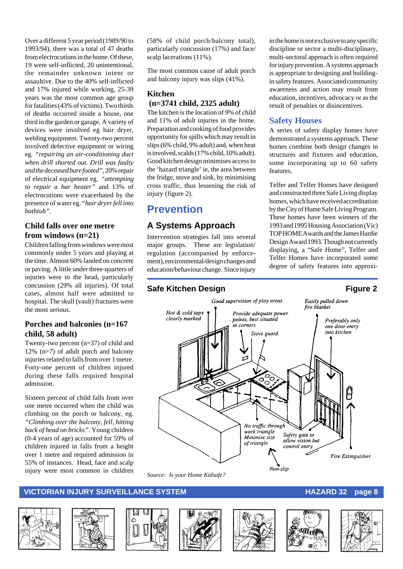Over a different 5 year period (1989/90 to 1993/94), there was a total of 47 deaths from electrocutions in the home. Of these, 19 were self-inflicted, 20 unintentional, the remainder unknown intent or assaultive. Due to the 40% self-inflicted and 17% injured while working, 25-39 years was the most common age group for fatalities (43% of victims). Two thirds of deaths occurred inside a house, one third in the garden or garage. A variety of devices were involved eg hair dryer, welding equipment. Twenty-two percent involved defective equipment or wiring eg. *"repairing an air-conditioning duct when drill shorted out. Drill was faulty and the deceased bare footed"*, 20% repair of electrical equipment eg. *"attempting to repair a bar heater"* and 13% of electrocutions were exacerbated by the presence of water eg. *"hair dryer fell into bathtub"*.

#### **Child falls over one metre from windows (n=21)**

Children falling from windows were most commonly under 5 years and playing at the time. Almost 60% landed on concrete or paving. A little under three-quarters of injuries were to the head, particularly concussion (29% all injuries). Of total cases, almost half were admitted to hospital. The skull (vault) fractures were the most serious.

#### **Porches and balconies (n=167 child, 58 adult)**

Twenty-two percent (n=37) of child and 12% (n=7) of adult porch and balcony injuries related to falls from over 1 metre. Forty-one percent of children injured during these falls required hospital admission.

Sixteen percent of child falls from over one metre occurred when the child was climbing on the porch or balcony, eg. *"Climbing over the balcony, fell, hitting back of head on bricks"*. Young children (0-4 years of age) accounted for 59% of children injured in falls from a height over 1 metre and required admission in 55% of instances. Head, face and scalp injury were most common in children (58% of child porch/balcony total), particularly concussion (17%) and face/ scalp lacerations (11%).

The most common cause of adult porch and balcony injury was slips (41%).

#### **Kitchen (n=3741 child, 2325 adult)**

The kitchen is the location of 9% of child and 11% of adult injuries in the home. Preparation and cooking of food provides opportunity for spills which may result in slips (6% child, 9% adult) and, when heat is involved, scalds (17% child, 10% adult). Good kitchen design minimises access to the 'hazard triangle' ie, the area between the fridge, stove and sink, by minimising cross traffic, thus lessening the risk of injury (figure 2).

### **Prevention**

### **A Systems Approach**

Intervention strategies fall into several major groups. These are legislation/ regulation (accompanied by enforcement), environmental/design changes and education/behaviour change. Since injury

#### **Safe Kitchen Design Figure 2**

in the home is not exclusive to any specific discipline or sector a multi-disciplinary, multi-sectoral approach is often required for injury prevention. A systems approach is appropriate to designing and buildingin safety features. Associated community awareness and action may result from education, incentives, advocacy or as the result of penalties or disincentives.

#### **Safety Houses**

A series of safety display homes have demonstrated a systems approach. These homes combine both design changes in structures and fixtures and education, some incorporating up to 60 safety features.

Telfer and Telfer Homes have designed and constructed three Safe Living display homes, which have received accreditation by the City of Hume Safe Living Program. These homes have been winners of the 1993 and 1995 Housing Association (Vic) TOP HOME Awards and the James Hardie Design Award 1993. Though not currently displaying, a "Safe Home", Telfer and Telfer Homes have incorporated some degree of safety features into approxi-





*Source: Is your Home Kidsafe?*

#### **VICTORIAN INJURY SURVEILLANCE SYSTEM AND REALLY CONSUMING THE REAL PROPERTY OF STATE STATES AND REAL PROPERTY**













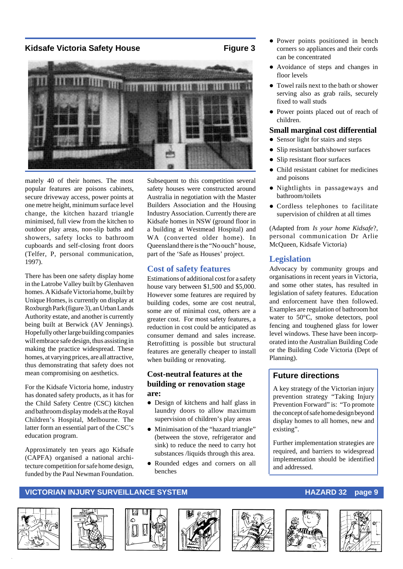#### **Kidsafe Victoria Safety House The Convertision Convertision Convertision Convertision Convertision Convertision Convertision Convertision Convertision Convertision Convertision Convertision Convertision Convertision Conve**



mately 40 of their homes. The most popular features are poisons cabinets, secure driveway access, power points at one metre height, minimum surface level change, the kitchen hazard triangle minimised, full view from the kitchen to outdoor play areas, non-slip baths and showers, safety locks to bathroom cupboards and self-closing front doors (Telfer, P, personal communication, 1997).

There has been one safety display home in the Latrobe Valley built by Glenhaven homes. A Kidsafe Victoria home, built by Unique Homes, is currently on display at Roxburgh Park (figure 3), an Urban Lands Authority estate, and another is currently being built at Berwick (AV Jennings). Hopefully other large building companies will embrace safe design, thus assisting in making the practice widespread. These homes, at varying prices, are all attractive, thus demonstrating that safety does not mean compromising on aesthetics.

For the Kidsafe Victoria home, industry has donated safety products, as it has for the Child Safety Centre (CSC) kitchen and bathroom display models at the Royal Children's Hospital, Melbourne. The latter form an essential part of the CSC's education program.

Approximately ten years ago Kidsafe (CAPFA) organised a national architecture competition for safe home design, funded by the Paul Newman Foundation. Subsequent to this competition several safety houses were constructed around Australia in negotiation with the Master Builders Association and the Housing Industry Association. Currently there are Kidsafe homes in NSW (ground floor in a building at Westmead Hospital) and WA (converted older home). In Queensland there is the "No ouch" house, part of the 'Safe as Houses' project.

#### **Cost of safety features**

Estimations of additional cost for a safety house vary between \$1,500 and \$5,000. However some features are required by building codes, some are cost neutral, some are of minimal cost, others are a greater cost. For most safety features, a reduction in cost could be anticipated as consumer demand and sales increase. Retrofitting is possible but structural features are generally cheaper to install when building or renovating.

#### **Cost-neutral features at the building or renovation stage are:**

- Design of kitchens and half glass in laundry doors to allow maximum supervision of children's play areas
- $\bullet$  Minimisation of the "hazard triangle" (between the stove, refrigerator and sink) to reduce the need to carry hot substances /liquids through this area.
- Rounded edges and corners on all benches
- Power points positioned in bench corners so appliances and their cords can be concentrated
- Avoidance of steps and changes in floor levels
- Towel rails next to the bath or shower serving also as grab rails, securely fixed to wall studs
- Power points placed out of reach of children.

#### **Small marginal cost differential**

- Sensor light for stairs and steps
- Slip resistant bath/shower surfaces
- Slip resistant floor surfaces
- Child resistant cabinet for medicines and poisons
- Nightlights in passageways and bathroom/toilets
- $\bullet$  Cordless telephones to facilitate supervision of children at all times

(Adapted from *Is your home Kidsafe*?, personal communication Dr Arlie McQueen, Kidsafe Victoria)

#### **Legislation**

Advocacy by community groups and organisations in recent years in Victoria, and some other states, has resulted in legislation of safety features. Education and enforcement have then followed. Examples are regulation of bathroom hot water to 50°C, smoke detectors, pool fencing and toughened glass for lower level windows. These have been incorporated into the Australian Building Code or the Building Code Victoria (Dept of Planning).

#### **Future directions**

A key strategy of the Victorian injury prevention strategy "Taking Injury Prevention Forward" is: "To promote the concept of safe home design beyond display homes to all homes, new and existing".

Further implementation strategies are required, and barriers to widespread implementation should be identified and addressed.













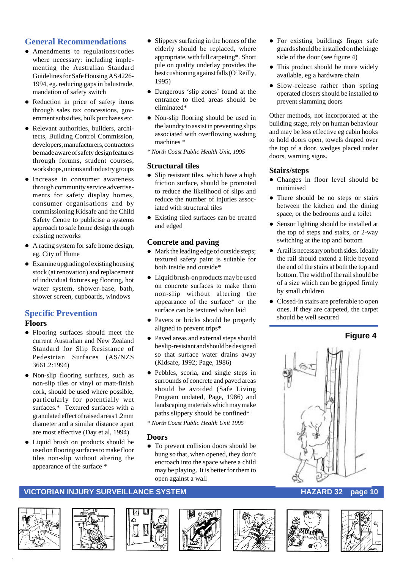#### **General Recommendations**

- Amendments to regulations/codes where necessary: including implementing the Australian Standard Guidelines for Safe Housing AS 4226- 1994, eg. reducing gaps in balustrade, mandation of safety switch
- Reduction in price of safety items through sales tax concessions, government subsidies, bulk purchases etc.
- Relevant authorities, builders, architects, Building Control Commission, developers, manufacturers, contractors be made aware of safety design features through forums, student courses, workshops, unions and industry groups
- **•** Increase in consumer awareness through community service advertisements for safety display homes, consumer organisations and by commissioning Kidsafe and the Child Safety Centre to publicise a systems approach to safe home design through existing networks
- A rating system for safe home design, eg. City of Hume
- $\bullet$  Examine upgrading of existing housing stock (at renovation) and replacement of individual fixtures eg flooring, hot water system, shower-base, bath, shower screen, cupboards, windows

### **Specific Prevention**

#### **Floors**

- Flooring surfaces should meet the current Australian and New Zealand Standard for Slip Resistance of Pedestrian Surfaces (AS/NZS 3661.2:1994)
- Non-slip flooring surfaces, such as non-slip tiles or vinyl or matt-finish cork, should be used where possible, particularly for potentially wet surfaces.\* Textured surfaces with a granulated effect of raised areas 1.2mm diameter and a similar distance apart are most effective (Day et al, 1994)
- Liquid brush on products should be used on flooring surfaces to make floor tiles non-slip without altering the appearance of the surface \*
- $\bullet$  Slippery surfacing in the homes of the elderly should be replaced, where appropriate, with full carpeting\*. Short pile on quality underlay provides the best cushioning against falls (O'Reilly, 1995)
- Dangerous 'slip zones' found at the entrance to tiled areas should be eliminated\*
- Non-slip flooring should be used in the laundry to assist in preventing slips associated with overflowing washing machines \*
- *\* North Coast Public Health Unit, 1995*

#### **Structural tiles**

- $\bullet$  Slip resistant tiles, which have a high friction surface, should be promoted to reduce the likelihood of slips and reduce the number of injuries associated with structural tiles
- Existing tiled surfaces can be treated and edged

#### **Concrete and paving**

- $\bullet$  Mark the leading edge of outside steps; textured safety paint is suitable for both inside and outside\*
- Liquid brush-on products may be used on concrete surfaces to make them non-slip without altering the appearance of the surface\* or the surface can be textured when laid
- Pavers or bricks should be properly aligned to prevent trips\*
- Paved areas and external steps should be slip-resistant and should be designed so that surface water drains away (Kidsafe, 1992; Page, 1986)
- Pebbles, scoria, and single steps in surrounds of concrete and paved areas should be avoided (Safe Living Program undated, Page, 1986) and landscaping materials which may make paths slippery should be confined\*
- *\* North Coast Public Health Unit 1995*

#### **Doors**

• To prevent collision doors should be hung so that, when opened, they don't encroach into the space where a child may be playing. It is better for them to open against a wall

- For existing buildings finger safe guards should be installed on the hinge side of the door (see figure 4)
- This product should be more widely available, eg a hardware chain
- Slow-release rather than spring operated closers should be installed to prevent slamming doors

Other methods, not incorporated at the building stage, rely on human behaviour and may be less effective eg cabin hooks to hold doors open, towels draped over the top of a door, wedges placed under doors, warning signs.

#### **Stairs/steps**

- Changes in floor level should be minimised
- There should be no steps or stairs between the kitchen and the dining space, or the bedrooms and a toilet
- Sensor lighting should be installed at the top of steps and stairs, or 2-way switching at the top and bottom
- $\bullet$  A rail is necessary on both sides. Ideally the rail should extend a little beyond the end of the stairs at both the top and bottom. The width of the rail should be of a size which can be gripped firmly by small children
- Closed-in stairs are preferable to open ones. If they are carpeted, the carpet should be well secured

#### **Figure 4**















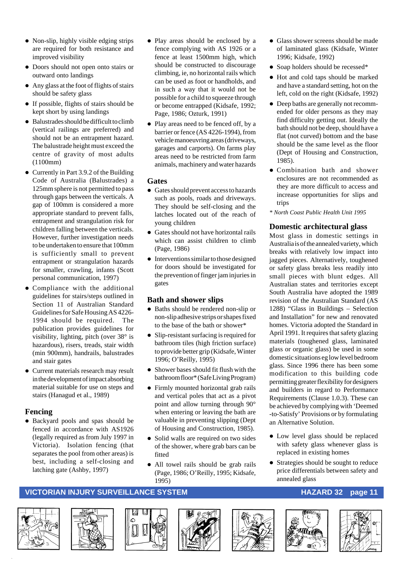- $\bullet$  Non-slip, highly visible edging strips are required for both resistance and improved visibility
- Doors should not open onto stairs or outward onto landings
- $\bullet$  Any glass at the foot of flights of stairs should be safety glass
- If possible, flights of stairs should be kept short by using landings
- $\bullet$  Balustrades should be difficult to climb (vertical railings are preferred) and should not be an entrapment hazard. The balustrade height must exceed the centre of gravity of most adults (1100mm)
- $\bullet$  Currently in Part 3.9.2 of the Building Code of Australia (Balustrades) a 125mm sphere is not permitted to pass through gaps between the verticals. A gap of 100mm is considered a more appropriate standard to prevent falls, entrapment and strangulation risk for children falling between the verticals. However, further investigation needs to be undertaken to ensure that 100mm is sufficiently small to prevent entrapment or strangulation hazards for smaller, crawling, infants (Scott personal communication, 1997)
- $\bullet$  Compliance with the additional guidelines for stairs/steps outlined in Section 11 of Australian Standard Guidelines for Safe Housing AS 4226- 1994 should be required. The publication provides guidelines for visibility, lighting, pitch (over 38° is hazardous), risers, treads, stair width (min 900mm), handrails, balustrades and stair gates
- Current materials research may result in the development of impact absorbing material suitable for use on steps and stairs (Hanagud et al., 1989)

#### **Fencing**

• Backyard pools and spas should be fenced in accordance with AS1926 (legally required as from July 1997 in Victoria). Isolation fencing (that separates the pool from other areas) is best, including a self-closing and latching gate (Ashby, 1997)

- Play areas should be enclosed by a fence complying with AS 1926 or a fence at least 1500mm high, which should be constructed to discourage climbing, ie, no horizontal rails which can be used as foot or handholds, and in such a way that it would not be possible for a child to squeeze through or become entrapped (Kidsafe, 1992; Page, 1986; Ozturk, 1991)
- Play areas need to be fenced off, by a barrier or fence (AS 4226-1994), from vehicle manoeuvring areas (driveways, garages and carports). On farms play areas need to be restricted from farm animals, machinery and water hazards

#### **Gates**

- **•** Gates should prevent access to hazards such as pools, roads and driveways. They should be self-closing and the latches located out of the reach of young children
- Gates should not have horizontal rails which can assist children to climb (Page, 1986)
- $\bullet$  Interventions similar to those designed for doors should be investigated for the prevention of finger jam injuries in gates

#### **Bath and shower slips**

- Baths should be rendered non-slip or non-slip adhesive strips or shapes fixed to the base of the bath or shower\*
- Slip-resistant surfacing is required for bathroom tiles (high friction surface) to provide better grip (Kidsafe, Winter 1996; O'Reilly, 1995)
- Shower bases should fit flush with the bathroom floor\* (Safe Living Program)
- Firmly mounted horizontal grab rails and vertical poles that act as a pivot point and allow turning through 90° when entering or leaving the bath are valuable in preventing slipping (Dept of Housing and Construction, 1985).
- Solid walls are required on two sides of the shower, where grab bars can be fitted
- All towel rails should be grab rails (Page, 1986; O'Reilly, 1995; Kidsafe, 1995)
- Glass shower screens should be made of laminated glass (Kidsafe, Winter 1996; Kidsafe, 1992)
- Soap holders should be recessed\*
- Hot and cold taps should be marked and have a standard setting, hot on the left, cold on the right (Kidsafe, 1992)
- Deep baths are generally not recommended for older persons as they may find difficulty getting out. Ideally the bath should not be deep, should have a flat (not curved) bottom and the base should be the same level as the floor (Dept of Housing and Construction, 1985).
- **Combination bath and shower** enclosures are not recommended as they are more difficult to access and increase opportunities for slips and trips
- *\* North Coast Public Health Unit 1995*

#### **Domestic architectural glass**

Most glass in domestic settings in Australia is of the annealed variety, which breaks with relatively low impact into jagged pieces. Alternatively, toughened or safety glass breaks less readily into small pieces with blunt edges. All Australian states and territories except South Australia have adopted the 1989 revision of the Australian Standard (AS 1288) "Glass in Buildings – Selection and Installation" for new and renovated homes. Victoria adopted the Standard in April 1991. It requires that safety glazing materials (toughened glass, laminated glass or organic glass) be used in some domestic situations eg low level bedroom glass. Since 1996 there has been some modification to this building code permitting greater flexibility for designers and builders in regard to Performance Requirements (Clause 1.0.3). These can be achieved by complying with 'Deemed -to-Satisfy' Provisions or by formulating an Alternative Solution.

- $\bullet$  Low level glass should be replaced with safety glass whenever glass is replaced in existing homes
- Strategies should be sought to reduce price differentials between safety and annealed glass

#### **VICTORIAN INJURY SURVEILLANCE SYSTEM AND REALLY CONTROLLY CONTROLLY AND REALLY CONTROLLY PAGE 11**













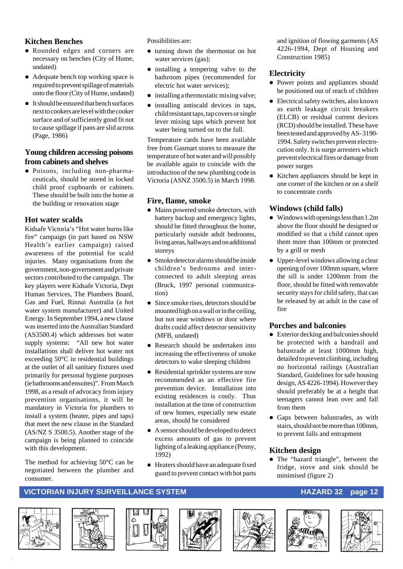#### **Kitchen Benches**

- Rounded edges and corners are necessary on benches (City of Hume, undated)
- Adequate bench top working space is required to prevent spillage of materials onto the floor (City of Hume, undated)
- $\bullet$  It should be ensured that bench surfaces next to cookers are level with the cooker surface and of sufficiently good fit not to cause spillage if pans are slid across (Page, 1986)

#### **Young children accessing poisons from cabinets and shelves**

 $\bullet$  Poisons, including non-pharmaceuticals, should be stored in locked child proof cupboards or cabinets. These should be built into the home at the building or renovation stage

#### **Hot water scalds**

Kidsafe Victoria's "Hot water burns like fire" campaign (in part based on NSW Health's earlier campaign) raised awareness of the potential for scald injuries. Many organisations from the government, non-government and private sectors contributed to the campaign. The key players were Kidsafe Victoria, Dept Human Services, The Plumbers Board, Gas and Fuel, Rinnai Australia (a hot water system manufacturer) and United Energy. In September 1994, a new clause was inserted into the Australian Standard (AS3500.4) which addresses hot water supply systems: "All new hot water installations shall deliver hot water not exceeding 50°C in residential buildings at the outlet of all sanitary fixtures used primarily for personal hygiene purposes (ie bathrooms and ensuites)". From March 1998, as a result of advocacy from injury prevention organisations, it will be mandatory in Victoria for plumbers to install a system (heater, pipes and taps) that meet the new clause in the Standard (AS/NZ S 3500.5). Another stage of the campaign is being planned to coincide with this development.

The method for achieving 50°C can be negotiated between the plumber and consumer.

Possibilities are:

- turning down the thermostat on hot water services (gas);
- installing a tempering valve to the bathroom pipes (recommended for electric hot water services);
- $\bullet$  installing a thermostatic mixing valve;
- $\bullet$  installing antiscald devices in taps, child resistant taps, tap covers or single lever mixing taps which prevent hot water being turned on to the full.

Temperature cards have been available free from Gasmart stores to measure the temperature of hot water and will possibly be available again to coincide with the introduction of the new plumbing code in Victoria (ASNZ 3500.5) in March 1998.

#### **Fire, flame, smoke**

- $\bullet$  Mains powered smoke detectors, with battery backup and emergency lights, should be fitted throughout the home, particularly outside adult bedrooms, living areas, hallways and on additional storeys
- $\bullet$  Smoke detector alarms should be inside children's bedrooms and interconnected to adult sleeping areas (Bruck, 1997 personal communication)
- Since smoke rises, detectors should be mounted high on a wall or in the ceiling, but not near windows or door where drafts could affect detector sensitivity (MFB, undated)
- Research should be undertaken into increasing the effectiveness of smoke detectors to wake sleeping children
- Residential sprinkler systems are now recommended as an effective fire prevention device. Installation into existing residences is costly. Thus installation at the time of construction of new homes, especially new estate areas, should be considered
- $\bullet$  A sensor should be developed to detect excess amounts of gas to prevent lighting of a leaking appliance (Penny, 1992)
- $\bullet$  Heaters should have an adequate fixed guard to prevent contact with hot parts

and ignition of flowing garments (AS 4226-1994, Dept of Housing and Construction 1985)

#### **Electricity**

- Power points and appliances should be positioned out of reach of children
- $\bullet$  Electrical safety switches, also known as earth leakage circuit breakers (ELCB) or residual current devices (RCD) should be installed. These have been tested and approved by AS- 3190- 1994. Safety switches prevent electrocution only. It is surge arresters which prevent electrical fires or damage from power surges
- Kitchen appliances should be kept in one corner of the kitchen or on a shelf to concentrate cords

#### **Windows (child falls)**

- $\bullet$  Windows with openings less than 1.2m above the floor should be designed or modified so that a child cannot open them more than 100mm or protected by a grill or mesh
- $\bullet$  Upper-level windows allowing a clear opening of over 100mm square, where the sill is under 1200mm from the floor, should be fitted with removable security stays for child safety, that can be released by an adult in the case of fire

#### **Porches and balconies**

- Exterior decking and balconies should be protected with a handrail and balustrade at least 1000mm high, detailed to prevent climbing, including no horizontal railings (Australian Standard, Guidelines for safe housing design, AS 4226-1994). However they should preferably be at a height that teenagers cannot lean over and fall from them
- Gaps between balustrades, as with stairs, should not be more than 100mm, to prevent falls and entrapment

#### **Kitchen design**

• The "hazard triangle", between the fridge, stove and sink should be minimised (figure 2)













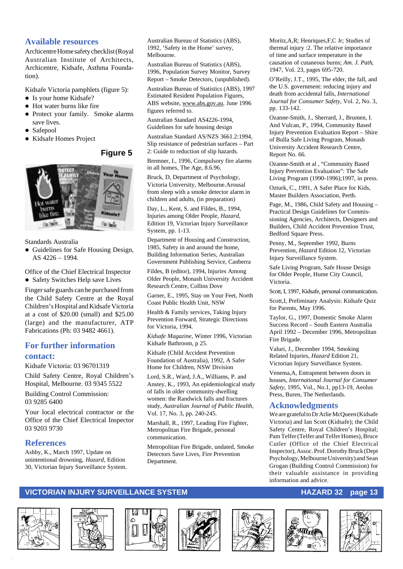#### **Available resources**

Archicentre Home safety checklist (Royal Australian Institute of Architects, Archicentre, Kidsafe, Asthma Foundation).

Kidsafe Victoria pamphlets (figure 5):

- Is your home Kidsafe?
- Hot water burns like fire
- Protect your family. Smoke alarms save lives.
- Safepool
- Kidsafe Homes Project

#### **Figure 5**



Standards Australia

• Guidelines for Safe Housing Design, AS 4226 – 1994.

Office of the Chief Electrical Inspector

• Safety Switches Help save Lives

Finger safe guards can be purchased from the Child Safety Centre at the Royal Children's Hospital and Kidsafe Victoria at a cost of \$20.00 (small) and \$25.00 (large) and the manufacturer, ATP Fabrications (Ph: 03 9482 4661).

#### **For further information contact:**

Kidsafe Victoria: 03 96701319

Child Safety Centre, Royal Children's Hospital, Melbourne. 03 9345 5522

Building Control Commission: 03 9285 6400

Your local electrical contractor or the Office of the Chief Electrical Inspector 03 9203 9730

#### **References**

Ashby, K., March 1997, Update on unintentional drowning, *Hazard*, Edition 30, Victorian Injury Surveillance System. Australian Bureau of Statistics (ABS), 1992, 'Safety in the Home' survey, Melbourne.

Australian Bureau of Statistics (ABS), 1996, Population Survey Monitor, Survey Report – Smoke Detectors, (unpublished).

Australian Bureau of Statistics (ABS), 1997 Estimated Resident Population Figures, ABS website, www.abs.gov.au. June 1996 figures referred to.

Australian Standard AS4226-1994, Guidelines for safe housing design

Australian Standard AS/NZS 3661.2:1994, Slip resistance of pedestrian surfaces – Part 2: Guide to reduction of slip hazards.

Bremner, I., 1996, Compulsory fire alarms in all homes, The Age, 8.6.96.

Bruck, D, Department of Psychology, Victoria University, Melbourne.Arousal from sleep with a smoke detector alarm in children and adults, (in preparation)

Day, L., Kent, S. and Fildes, B., 1994, Injuries among Older People, *Hazard*, Edition 19, Victorian Injury Surveillance System, pp. 1-13.

Department of Housing and Construction, 1985, Safety in and around the home, Building Information Series, Australian Government Publishing Service, Canberra

Fildes, B (editor), 1994, Injuries Among Older People, Monash University Accident Research Centre, Collins Dove

Garner, E., 1995, Stay on Your Feet, North Coast Public Health Unit, NSW

Health & Family services, Taking Injury Prevention Forward, Strategic Directions for Victoria, 1994.

*Kidsafe Magazine*, Winter 1996, Victorian Kidsafe Bathroom, p 25.

Kidsafe (Child Accident Prevention Foundation of Australia), 1992, A Safer Home for Children, NSW Division

Lord, S.R., Ward, J.A., Williams, P. and Anstey, K., 1993, An epidemiological study of falls in older community-dwelling women: the Randwick falls and fractures study, *Australian Journal of Public Health*, Vol. 17, No. 3, pp. 240-245.

Marshall, R., 1997, Leading Fire Fighter, Metropolitan Fire Brigade, personal communication.

Metropolitan Fire Brigade, undated, Smoke Detectors Save Lives, Fire Prevention Department.

Moritz,A,R; Henriques,F,C Jr; Studies of thermal injury :2. The relative importance of time and surface temperature in the causation of cutaneous burns; *Am. J. Path*, 1947, Vol. 23, pages 695-720.

O'Reilly, J.T., 1995, The elder, the fall, and the U.S. government: reducing injury and death from accidental falls, *International Journal for Consumer Safety*, Vol. 2, No. 3, pp. 133-142.

Ozanne-Smith, J., Sherrard, J., Brumen, I. And Vulcan, P., 1994, Community Based Injury Prevention Evaluation Report – Shire of Bulla Safe Living Program, Monash University Accident Research Centre, Report No. 66.

Ozanne-Smith et al , "Community Based Injury Prevention Evaluation": The Safe Living Program (1990-1996);1997, in press.

Ozturk, C., 1991, A Safer Place for Kids, Master Builders Association, Perth.

Page, M., 1986, Child Safety and Housing – Practical Design Guidelines for Commissioning Agencies, Architects, Designers and Builders, Child Accident Prevention Trust, Bedford Square Press.

Penny, M., September 1992, Burns Prevention, *Hazard* Edition 12, Victorian Injury Surveillance System.

Safe Living Program, Safe House Design for Older People, Hume City Council, Victoria.

Scott, I, 1997, Kidsafe, personal communication.

Scott,I, Preliminary Analysis: Kidsafe Quiz for Parents, May 1996.

Taylor, G., 1997, Domestic Smoke Alarm Success Record – South Eastern Australia April 1992 – December 1996, Metropolitan Fire Brigade.

Valuri, J., December 1994, Smoking Related Injuries, *Hazard* Edition 21, Victorian Injury Surveillance System.

Venema,A, Entrapment between doors in houses, *International Journal for Consumer Safety*, 1995, Vol., No.1, pp13-19, Aeolus Press, Buren, The Netherlands.

#### **Acknowledgments**

We are grateful to Dr Arlie McQueen (Kidsafe Victoria) and Ian Scott (Kidsafe); the Child Safety Centre, Royal Children's Hospital; Pam Telfer (Telfer and Telfer Homes), Bruce Cutler (Office of the Chief Electrical Inspector), Assoc. Prof. Dorothy Bruck (Dept Psychology, Melbourne University) and Sean Grogan (Building Control Commission) for their valuable assistance in providing information and advice.













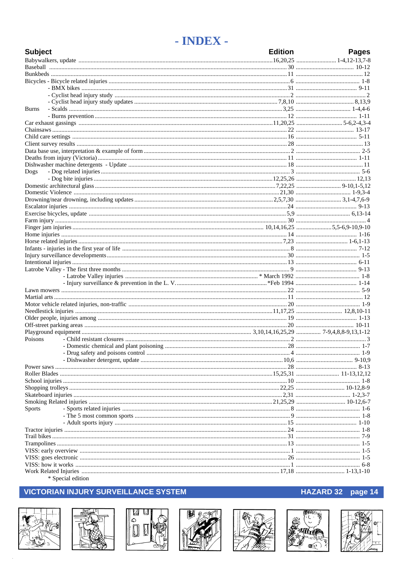### - INDEX -

| <b>Subject</b> |  | <b>Edition</b> | <b>Pages</b> |
|----------------|--|----------------|--------------|
|                |  |                |              |
|                |  |                |              |
|                |  |                |              |
|                |  |                |              |
|                |  |                |              |
|                |  |                |              |
|                |  |                |              |
| <b>Burns</b>   |  |                |              |
|                |  |                |              |
|                |  |                |              |
|                |  |                |              |
|                |  |                |              |
|                |  |                |              |
|                |  |                |              |
|                |  |                |              |
|                |  |                |              |
| Dogs           |  |                |              |
|                |  |                |              |
|                |  |                |              |
|                |  |                |              |
|                |  |                |              |
|                |  |                |              |
|                |  |                |              |
|                |  |                |              |
|                |  |                |              |
|                |  |                |              |
|                |  |                |              |
|                |  |                |              |
|                |  |                |              |
|                |  |                |              |
|                |  |                |              |
|                |  |                |              |
|                |  |                |              |
|                |  |                |              |
|                |  |                |              |
|                |  |                |              |
|                |  |                |              |
|                |  |                |              |
|                |  |                |              |
|                |  |                |              |
| Poisons        |  |                |              |
|                |  |                |              |
|                |  |                |              |
|                |  |                |              |
|                |  |                |              |
|                |  |                |              |
|                |  |                |              |
|                |  |                |              |
|                |  |                |              |
|                |  |                |              |
| Sports         |  |                |              |
|                |  |                |              |
|                |  |                |              |
|                |  |                |              |
|                |  |                |              |
|                |  |                |              |
|                |  |                |              |
|                |  |                |              |
|                |  |                |              |
|                |  |                |              |

\* Special edition

### **VICTORIAN INJURY SURVEILLANCE SYSTEM**















### HAZARD 32 page 14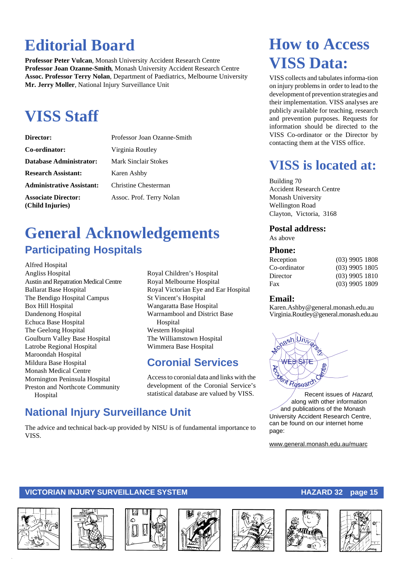## **Editorial Board**

**Professor Peter Vulcan**, Monash University Accident Research Centre **Professor Joan Ozanne-Smith**, Monash University Accident Research Centre **Assoc. Professor Terry Nolan**, Department of Paediatrics, Melbourne University **Mr. Jerry Moller**, National Injury Surveillance Unit

## **VISS Staff**

| Director:                                      | Professor Joan Ozanne-Smith |
|------------------------------------------------|-----------------------------|
| Co-ordinator:                                  | Virginia Routley            |
| <b>Database Administrator:</b>                 | Mark Sinclair Stokes        |
| <b>Research Assistant:</b>                     | Karen Ashby                 |
| <b>Administrative Assistant:</b>               | Christine Chesterman        |
| <b>Associate Director:</b><br>(Child Injuries) | Assoc. Prof. Terry Nolan    |

## **General Acknowledgements Participating Hospitals**

Alfred Hospital Angliss Hospital Austin and Repatration Medical Centre Ballarat Base Hospital The Bendigo Hospital Campus Box Hill Hospital Dandenong Hospital Echuca Base Hospital The Geelong Hospital Goulburn Valley Base Hospital Latrobe Regional Hospital Maroondah Hospital Mildura Base Hospital Monash Medical Centre Mornington Peninsula Hospital Preston and Northcote Community Hospital

Royal Children's Hospital Royal Melbourne Hospital Royal Victorian Eye and Ear Hospital St Vincent's Hospital Wangaratta Base Hospital Warrnambool and District Base Hospital Western Hospital The Williamstown Hospital Wimmera Base Hospital

### **Coronial Services**

Access to coronial data and links with the development of the Coronial Service's statistical database are valued by VISS.

### **National Injury Surveillance Unit**

The advice and technical back-up provided by NISU is of fundamental importance to VISS.

## **How to Access VISS Data:**

VISS collects and tabulates informa-tion on injury problems in order to lead to the development of prevention strategies and their implementation. VISS analyses are publicly available for teaching, research and prevention purposes. Requests for information should be directed to the VISS Co-ordinator or the Director by contacting them at the VISS office.

## **VISS is located at:**

Building 70 Accident Research Centre Monash University Wellington Road Clayton, Victoria, 3168

#### **Postal address:**

As above

#### **Phone:**

| $(03)$ 9905 1808 |
|------------------|
| $(03)$ 9905 1805 |
| $(03)$ 9905 1810 |
| $(03)$ 9905 1809 |
|                  |

#### **Email:**

Karen.Ashby@general.monash.edu.au Virginia.Routley@general.monash.edu.au



Recent issues of Hazard, along with other information and publications of the Monash University Accident Research Centre, can be found on our internet home page:

www.general.monash.edu.au/muarc